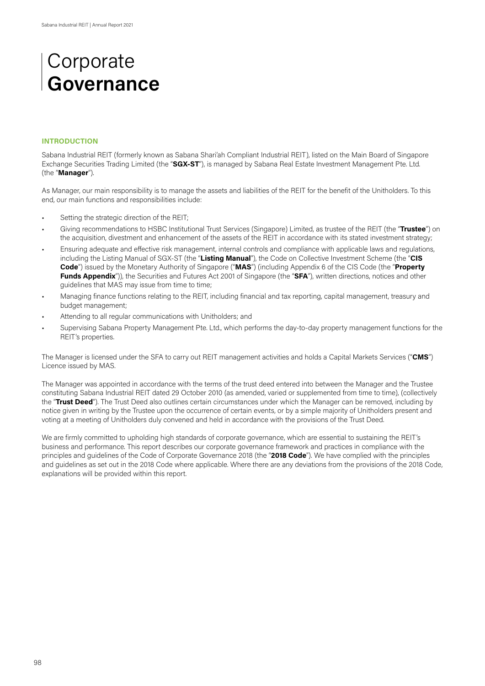#### **INTRODUCTION**

Sabana Industrial REIT (formerly known as Sabana Shari'ah Compliant Industrial REIT), listed on the Main Board of Singapore Exchange Securities Trading Limited (the "**SGX-ST**"), is managed by Sabana Real Estate Investment Management Pte. Ltd. (the "**Manager**").

As Manager, our main responsibility is to manage the assets and liabilities of the REIT for the benefit of the Unitholders. To this end, our main functions and responsibilities include:

- Setting the strategic direction of the REIT;
- Giving recommendations to HSBC Institutional Trust Services (Singapore) Limited, as trustee of the REIT (the "**Trustee**") on the acquisition, divestment and enhancement of the assets of the REIT in accordance with its stated investment strategy;
- Ensuring adequate and effective risk management, internal controls and compliance with applicable laws and regulations, including the Listing Manual of SGX-ST (the "**Listing Manual**"), the Code on Collective Investment Scheme (the "**CIS Code**") issued by the Monetary Authority of Singapore ("**MAS**") (including Appendix 6 of the CIS Code (the "**Property Funds Appendix**")), the Securities and Futures Act 2001 of Singapore (the "**SFA**"), written directions, notices and other guidelines that MAS may issue from time to time;
- Managing finance functions relating to the REIT, including financial and tax reporting, capital management, treasury and budget management;
- Attending to all regular communications with Unitholders; and
- Supervising Sabana Property Management Pte. Ltd., which performs the day-to-day property management functions for the REIT's properties.

The Manager is licensed under the SFA to carry out REIT management activities and holds a Capital Markets Services ("**CMS**") Licence issued by MAS.

The Manager was appointed in accordance with the terms of the trust deed entered into between the Manager and the Trustee constituting Sabana Industrial REIT dated 29 October 2010 (as amended, varied or supplemented from time to time), (collectively the "**Trust Deed**"). The Trust Deed also outlines certain circumstances under which the Manager can be removed, including by notice given in writing by the Trustee upon the occurrence of certain events, or by a simple majority of Unitholders present and voting at a meeting of Unitholders duly convened and held in accordance with the provisions of the Trust Deed.

We are firmly committed to upholding high standards of corporate governance, which are essential to sustaining the REIT's business and performance. This report describes our corporate governance framework and practices in compliance with the principles and guidelines of the Code of Corporate Governance 2018 (the "**2018 Code**"). We have complied with the principles and guidelines as set out in the 2018 Code where applicable. Where there are any deviations from the provisions of the 2018 Code, explanations will be provided within this report.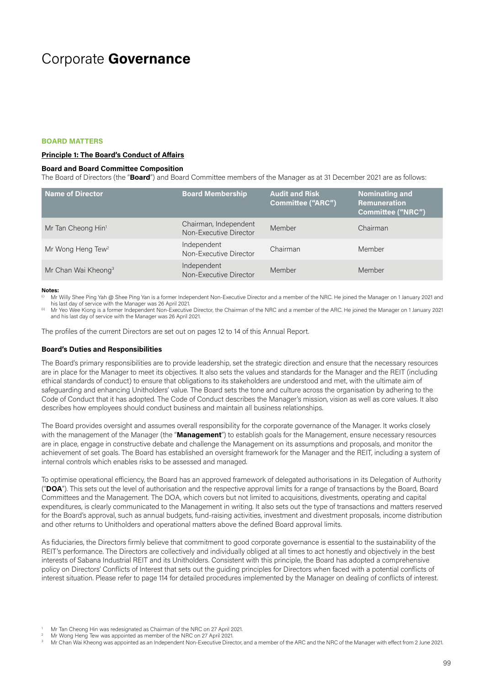#### **BOARD MATTERS**

### **Principle 1: The Board's Conduct of Affairs**

#### **Board and Board Committee Composition**

The Board of Directors (the "**Board**") and Board Committee members of the Manager as at 31 December 2021 are as follows:

| Name of Director                | <b>Board Membership</b>                         | <b>Audit and Risk</b><br><b>Committee ("ARC")</b> | <b>Nominating and</b><br><b>Remuneration</b><br>Committee ("NRC") |
|---------------------------------|-------------------------------------------------|---------------------------------------------------|-------------------------------------------------------------------|
| Mr Tan Cheong Hin <sup>1</sup>  | Chairman, Independent<br>Non-Executive Director | Member                                            | Chairman                                                          |
| Mr Wong Heng Tew <sup>2</sup>   | Independent<br>Non-Executive Director           | Chairman                                          | Member                                                            |
| Mr Chan Wai Kheong <sup>3</sup> | Independent<br>Non-Executive Director           | Member                                            | Member                                                            |

#### **Notes:**

Mr Willy Shee Ping Yah @ Shee Ping Yan is a former Independent Non-Executive Director and a member of the NRC. He joined the Manager on 1 January 2021 and his last day of service with the Manager was 26 April 2021.

Mr Yeo Wee Kiong is a former Independent Non-Executive Director, the Chairman of the NRC and a member of the ARC. He joined the Manager on 1 January 2021 and his last day of service with the Manager was 26 April 2021.

The profiles of the current Directors are set out on pages 12 to 14 of this Annual Report.

#### **Board's Duties and Responsibilities**

The Board's primary responsibilities are to provide leadership, set the strategic direction and ensure that the necessary resources are in place for the Manager to meet its objectives. It also sets the values and standards for the Manager and the REIT (including ethical standards of conduct) to ensure that obligations to its stakeholders are understood and met, with the ultimate aim of safeguarding and enhancing Unitholders' value. The Board sets the tone and culture across the organisation by adhering to the Code of Conduct that it has adopted. The Code of Conduct describes the Manager's mission, vision as well as core values. It also describes how employees should conduct business and maintain all business relationships.

The Board provides oversight and assumes overall responsibility for the corporate governance of the Manager. It works closely with the management of the Manager (the "**Management**") to establish goals for the Management, ensure necessary resources are in place, engage in constructive debate and challenge the Management on its assumptions and proposals, and monitor the achievement of set goals. The Board has established an oversight framework for the Manager and the REIT, including a system of internal controls which enables risks to be assessed and managed.

To optimise operational efficiency, the Board has an approved framework of delegated authorisations in its Delegation of Authority ("**DOA**"). This sets out the level of authorisation and the respective approval limits for a range of transactions by the Board, Board Committees and the Management. The DOA, which covers but not limited to acquisitions, divestments, operating and capital expenditures, is clearly communicated to the Management in writing. It also sets out the type of transactions and matters reserved for the Board's approval, such as annual budgets, fund-raising activities, investment and divestment proposals, income distribution and other returns to Unitholders and operational matters above the defined Board approval limits.

As fiduciaries, the Directors firmly believe that commitment to good corporate governance is essential to the sustainability of the REIT's performance. The Directors are collectively and individually obliged at all times to act honestly and objectively in the best interests of Sabana Industrial REIT and its Unitholders. Consistent with this principle, the Board has adopted a comprehensive policy on Directors' Conflicts of Interest that sets out the guiding principles for Directors when faced with a potential conflicts of interest situation. Please refer to page 114 for detailed procedures implemented by the Manager on dealing of conflicts of interest.

Mr Tan Cheong Hin was redesignated as Chairman of the NRC on 27 April 2021.<br><sup>2</sup> Mr Wong Heng Tew was appointed as member of the NRC on 27 April 2021.<br><sup>3</sup> Mr Chan Wai Kheong was appointed as an Independent Non-Executive Dir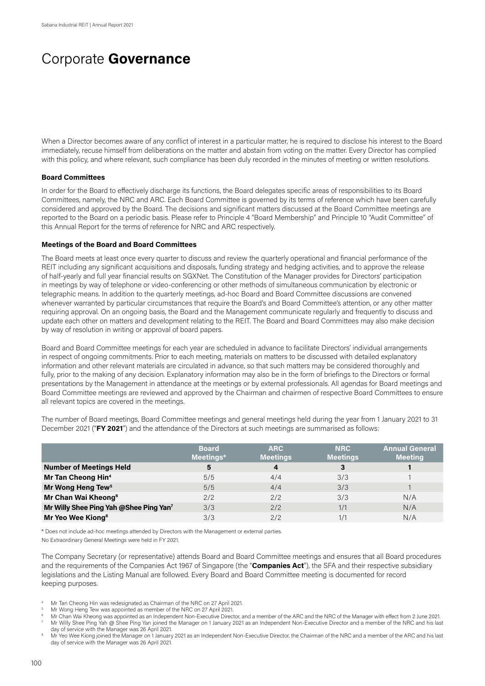When a Director becomes aware of any conflict of interest in a particular matter, he is required to disclose his interest to the Board immediately, recuse himself from deliberations on the matter and abstain from voting on the matter. Every Director has complied with this policy, and where relevant, such compliance has been duly recorded in the minutes of meeting or written resolutions.

### **Board Committees**

In order for the Board to effectively discharge its functions, the Board delegates specific areas of responsibilities to its Board Committees, namely, the NRC and ARC. Each Board Committee is governed by its terms of reference which have been carefully considered and approved by the Board. The decisions and significant matters discussed at the Board Committee meetings are reported to the Board on a periodic basis. Please refer to Principle 4 "Board Membership" and Principle 10 "Audit Committee" of this Annual Report for the terms of reference for NRC and ARC respectively.

#### **Meetings of the Board and Board Committees**

The Board meets at least once every quarter to discuss and review the quarterly operational and financial performance of the REIT including any significant acquisitions and disposals, funding strategy and hedging activities, and to approve the release of half-yearly and full year financial results on SGXNet. The Constitution of the Manager provides for Directors' participation in meetings by way of telephone or video-conferencing or other methods of simultaneous communication by electronic or telegraphic means. In addition to the quarterly meetings, ad-hoc Board and Board Committee discussions are convened whenever warranted by particular circumstances that require the Board's and Board Committee's attention, or any other matter requiring approval. On an ongoing basis, the Board and the Management communicate regularly and frequently to discuss and update each other on matters and development relating to the REIT. The Board and Board Committees may also make decision by way of resolution in writing or approval of board papers.

Board and Board Committee meetings for each year are scheduled in advance to facilitate Directors' individual arrangements in respect of ongoing commitments. Prior to each meeting, materials on matters to be discussed with detailed explanatory information and other relevant materials are circulated in advance, so that such matters may be considered thoroughly and fully, prior to the making of any decision. Explanatory information may also be in the form of briefings to the Directors or formal presentations by the Management in attendance at the meetings or by external professionals. All agendas for Board meetings and Board Committee meetings are reviewed and approved by the Chairman and chairmen of respective Board Committees to ensure all relevant topics are covered in the meetings.

The number of Board meetings, Board Committee meetings and general meetings held during the year from 1 January 2021 to 31 December 2021 ("**FY 2021**") and the attendance of the Directors at such meetings are summarised as follows:

|                                        | <b>Board</b><br>Meetings* | <b>ARC</b><br><b>Meetings</b> | <b>NRC</b><br><b>Meetings</b> | <b>Annual General</b><br><b>Meeting</b> |
|----------------------------------------|---------------------------|-------------------------------|-------------------------------|-----------------------------------------|
| <b>Number of Meetings Held</b>         | 5                         | 4                             | З                             |                                         |
| Mr Tan Cheong Hin <sup>4</sup>         | 5/5                       | 4/4                           | 3/3                           |                                         |
| Mr Wong Heng Tew <sup>5</sup>          | 5/5                       | 4/4                           | 3/3                           |                                         |
| Mr Chan Wai Kheong <sup>6</sup>        | 2/2                       | 2/2                           | 3/3                           | N/A                                     |
| Mr Willy Shee Ping Yah @Shee Ping Yan7 | 3/3                       | 2/2                           | 1/1                           | N/A                                     |
| Mr Yeo Wee Kiong <sup>8</sup>          | 3/3                       | 2/2                           | 1/1                           | N/A                                     |

\* Does not include ad-hoc meetings attended by Directors with the Management or external parties.

No Extraordinary General Meetings were held in FY 2021.

The Company Secretary (or representative) attends Board and Board Committee meetings and ensures that all Board procedures and the requirements of the Companies Act 1967 of Singapore (the "**Companies Act**"), the SFA and their respective subsidiary legislations and the Listing Manual are followed. Every Board and Board Committee meeting is documented for record keeping purposes.

- 
- 

Mr Tan Cheong Hin was redesignated as Chairman of the NRC on 27 April 2021.<br>Mr Wong Heng Tew was appointed as member of the NRC on 27 April 2021.<br>Mr Chan Wai Kheong was appointed as an Independent Non-Executive Director, a

Wr Chair was nuclear the Manager was 26 April 2021.<br>Mr Willy Shee Ping Yah @ Shee Ping Yan joined the Manager on 1 January 2021 as an Independent Non-Executive Director and a member of the NRC and his last<br>day of service w

Mr Yeo Wee Kiong joined the Manager on 1 January 2021 as an Independent Non-Executive Director, the Chairman of the NRC and a member of the ARC and his last day of service with the Manager was 26 April 2021.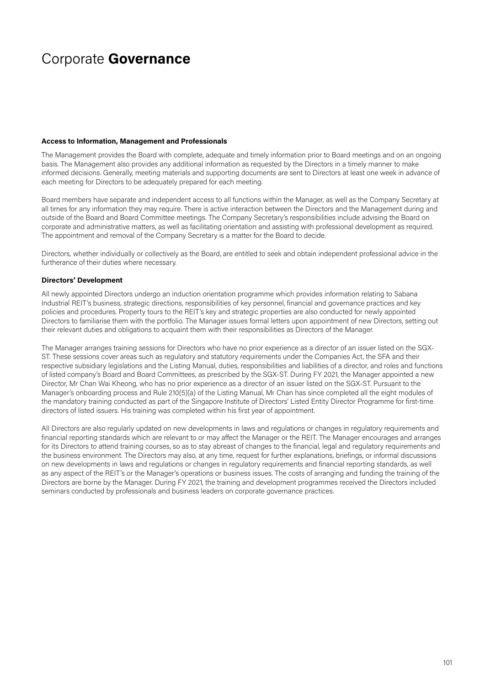### **Access to Information, Management and Professionals**

The Management provides the Board with complete, adequate and timely information prior to Board meetings and on an ongoing basis. The Management also provides any additional information as requested by the Directors in a timely manner to make informed decisions. Generally, meeting materials and supporting documents are sent to Directors at least one week in advance of each meeting for Directors to be adequately prepared for each meeting.

Board members have separate and independent access to all functions within the Manager, as well as the Company Secretary at all times for any information they may require. There is active interaction between the Directors and the Management during and outside of the Board and Board Committee meetings. The Company Secretary's responsibilities include advising the Board on corporate and administrative matters, as well as facilitating orientation and assisting with professional development as required. The appointment and removal of the Company Secretary is a matter for the Board to decide.

Directors, whether individually or collectively as the Board, are entitled to seek and obtain independent professional advice in the furtherance of their duties where necessary.

### **Directors' Development**

All newly appointed Directors undergo an induction orientation programme which provides information relating to Sabana Industrial REIT's business, strategic directions, responsibilities of key personnel, financial and governance practices and key policies and procedures. Property tours to the REIT's key and strategic properties are also conducted for newly appointed Directors to familiarise them with the portfolio. The Manager issues formal letters upon appointment of new Directors, setting out their relevant duties and obligations to acquaint them with their responsibilities as Directors of the Manager.

The Manager arranges training sessions for Directors who have no prior experience as a director of an issuer listed on the SGX-ST. These sessions cover areas such as regulatory and statutory requirements under the Companies Act, the SFA and their respective subsidiary legislations and the Listing Manual, duties, responsibilities and liabilities of a director, and roles and functions of listed company's Board and Board Committees, as prescribed by the SGX-ST. During FY 2021, the Manager appointed a new Director, Mr Chan Wai Kheong, who has no prior experience as a director of an issuer listed on the SGX-ST. Pursuant to the Manager's onboarding process and Rule 210(5)(a) of the Listing Manual, Mr Chan has since completed all the eight modules of the mandatory training conducted as part of the Singapore Institute of Directors' Listed Entity Director Programme for first-time directors of listed issuers. His training was completed within his first year of appointment.

All Directors are also regularly updated on new developments in laws and regulations or changes in regulatory requirements and financial reporting standards which are relevant to or may affect the Manager or the REIT. The Manager encourages and arranges for its Directors to attend training courses, so as to stay abreast of changes to the financial, legal and regulatory requirements and the business environment. The Directors may also, at any time, request for further explanations, briefings, or informal discussions on new developments in laws and regulations or changes in regulatory requirements and financial reporting standards, as well as any aspect of the REIT's or the Manager's operations or business issues. The costs of arranging and funding the training of the Directors are borne by the Manager. During FY 2021, the training and development programmes received the Directors included seminars conducted by professionals and business leaders on corporate governance practices.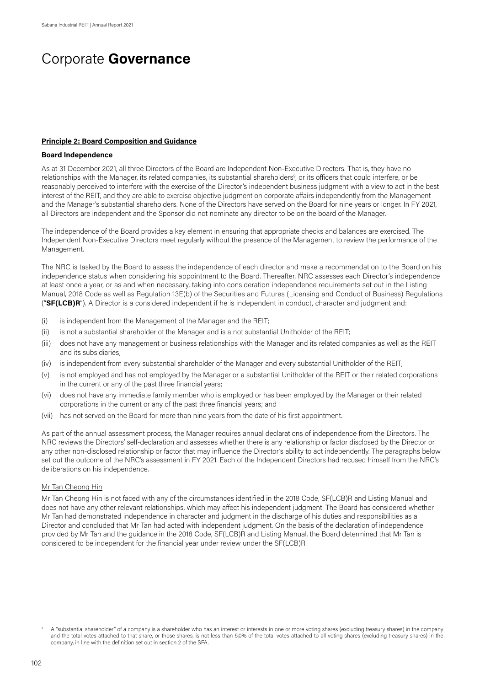#### **Principle 2: Board Composition and Guidance**

#### **Board Independence**

As at 31 December 2021, all three Directors of the Board are Independent Non-Executive Directors. That is, they have no relationships with the Manager, its related companies, its substantial shareholders<sup>9</sup>, or its officers that could interfere, or be reasonably perceived to interfere with the exercise of the Director's independent business judgment with a view to act in the best interest of the REIT, and they are able to exercise objective judgment on corporate affairs independently from the Management and the Manager's substantial shareholders. None of the Directors have served on the Board for nine years or longer. In FY 2021, all Directors are independent and the Sponsor did not nominate any director to be on the board of the Manager.

The independence of the Board provides a key element in ensuring that appropriate checks and balances are exercised. The Independent Non-Executive Directors meet regularly without the presence of the Management to review the performance of the Management.

The NRC is tasked by the Board to assess the independence of each director and make a recommendation to the Board on his independence status when considering his appointment to the Board. Thereafter, NRC assesses each Director's independence at least once a year, or as and when necessary, taking into consideration independence requirements set out in the Listing Manual, 2018 Code as well as Regulation 13E(b) of the Securities and Futures (Licensing and Conduct of Business) Regulations ("**SF(LCB)R**"). A Director is a considered independent if he is independent in conduct, character and judgment and:

- (i) is independent from the Management of the Manager and the REIT;
- (ii) is not a substantial shareholder of the Manager and is a not substantial Unitholder of the REIT;
- (iii) does not have any management or business relationships with the Manager and its related companies as well as the REIT and its subsidiaries;
- (iv) is independent from every substantial shareholder of the Manager and every substantial Unitholder of the REIT;
- (v) is not employed and has not employed by the Manager or a substantial Unitholder of the REIT or their related corporations in the current or any of the past three financial years;
- (vi) does not have any immediate family member who is employed or has been employed by the Manager or their related corporations in the current or any of the past three financial years; and
- (vii) has not served on the Board for more than nine years from the date of his first appointment.

As part of the annual assessment process, the Manager requires annual declarations of independence from the Directors. The NRC reviews the Directors' self-declaration and assesses whether there is any relationship or factor disclosed by the Director or any other non-disclosed relationship or factor that may influence the Director's ability to act independently. The paragraphs below set out the outcome of the NRC's assessment in FY 2021. Each of the Independent Directors had recused himself from the NRC's deliberations on his independence.

### Mr Tan Cheong Hin

Mr Tan Cheong Hin is not faced with any of the circumstances identified in the 2018 Code, SF(LCB)R and Listing Manual and does not have any other relevant relationships, which may affect his independent judgment. The Board has considered whether Mr Tan had demonstrated independence in character and judgment in the discharge of his duties and responsibilities as a Director and concluded that Mr Tan had acted with independent judgment. On the basis of the declaration of independence provided by Mr Tan and the guidance in the 2018 Code, SF(LCB)R and Listing Manual, the Board determined that Mr Tan is considered to be independent for the financial year under review under the SF(LCB)R.

A "substantial shareholder" of a company is a shareholder who has an interest or interests in one or more voting shares (excluding treasury shares) in the company and the total votes attached to that share, or those shares, is not less than 5.0% of the total votes attached to all voting shares (excluding treasury shares) in the company, in line with the definition set out in section 2 of the SFA.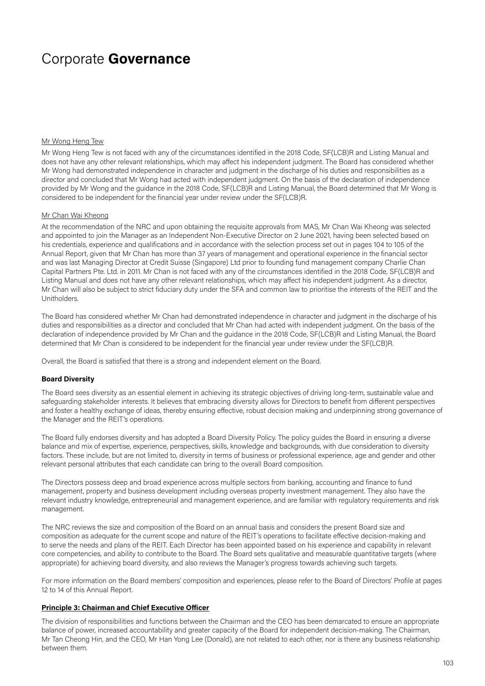#### Mr Wong Heng Tew

Mr Wong Heng Tew is not faced with any of the circumstances identified in the 2018 Code, SF(LCB)R and Listing Manual and does not have any other relevant relationships, which may affect his independent judgment. The Board has considered whether Mr Wong had demonstrated independence in character and judgment in the discharge of his duties and responsibilities as a director and concluded that Mr Wong had acted with independent judgment. On the basis of the declaration of independence provided by Mr Wong and the guidance in the 2018 Code, SF(LCB)R and Listing Manual, the Board determined that Mr Wong is considered to be independent for the financial year under review under the SF(LCB)R.

#### Mr Chan Wai Kheong

At the recommendation of the NRC and upon obtaining the requisite approvals from MAS, Mr Chan Wai Kheong was selected and appointed to join the Manager as an Independent Non-Executive Director on 2 June 2021, having been selected based on his credentials, experience and qualifications and in accordance with the selection process set out in pages 104 to 105 of the Annual Report, given that Mr Chan has more than 37 years of management and operational experience in the financial sector and was last Managing Director at Credit Suisse (Singapore) Ltd prior to founding fund management company Charlie Chan Capital Partners Pte. Ltd. in 2011. Mr Chan is not faced with any of the circumstances identified in the 2018 Code, SF(LCB)R and Listing Manual and does not have any other relevant relationships, which may affect his independent judgment. As a director, Mr Chan will also be subject to strict fiduciary duty under the SFA and common law to prioritise the interests of the REIT and the Unitholders.

The Board has considered whether Mr Chan had demonstrated independence in character and judgment in the discharge of his duties and responsibilities as a director and concluded that Mr Chan had acted with independent judgment. On the basis of the declaration of independence provided by Mr Chan and the guidance in the 2018 Code, SF(LCB)R and Listing Manual, the Board determined that Mr Chan is considered to be independent for the financial year under review under the SF(LCB)R.

Overall, the Board is satisfied that there is a strong and independent element on the Board.

#### **Board Diversity**

The Board sees diversity as an essential element in achieving its strategic objectives of driving long-term, sustainable value and safeguarding stakeholder interests. It believes that embracing diversity allows for Directors to benefit from different perspectives and foster a healthy exchange of ideas, thereby ensuring effective, robust decision making and underpinning strong governance of the Manager and the REIT's operations.

The Board fully endorses diversity and has adopted a Board Diversity Policy. The policy guides the Board in ensuring a diverse balance and mix of expertise, experience, perspectives, skills, knowledge and backgrounds, with due consideration to diversity factors. These include, but are not limited to, diversity in terms of business or professional experience, age and gender and other relevant personal attributes that each candidate can bring to the overall Board composition.

The Directors possess deep and broad experience across multiple sectors from banking, accounting and finance to fund management, property and business development including overseas property investment management. They also have the relevant industry knowledge, entrepreneurial and management experience, and are familiar with regulatory requirements and risk management.

The NRC reviews the size and composition of the Board on an annual basis and considers the present Board size and composition as adequate for the current scope and nature of the REIT's operations to facilitate effective decision-making and to serve the needs and plans of the REIT. Each Director has been appointed based on his experience and capability in relevant core competencies, and ability to contribute to the Board. The Board sets qualitative and measurable quantitative targets (where appropriate) for achieving board diversity, and also reviews the Manager's progress towards achieving such targets.

For more information on the Board members' composition and experiences, please refer to the Board of Directors' Profile at pages 12 to 14 of this Annual Report.

#### **Principle 3: Chairman and Chief Executive Officer**

The division of responsibilities and functions between the Chairman and the CEO has been demarcated to ensure an appropriate balance of power, increased accountability and greater capacity of the Board for independent decision-making. The Chairman, Mr Tan Cheong Hin, and the CEO, Mr Han Yong Lee (Donald), are not related to each other, nor is there any business relationship between them.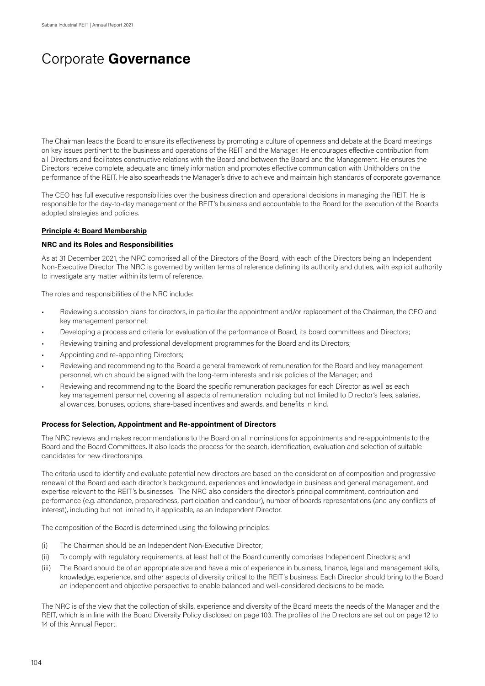The Chairman leads the Board to ensure its effectiveness by promoting a culture of openness and debate at the Board meetings on key issues pertinent to the business and operations of the REIT and the Manager. He encourages effective contribution from all Directors and facilitates constructive relations with the Board and between the Board and the Management. He ensures the Directors receive complete, adequate and timely information and promotes effective communication with Unitholders on the performance of the REIT. He also spearheads the Manager's drive to achieve and maintain high standards of corporate governance.

The CEO has full executive responsibilities over the business direction and operational decisions in managing the REIT. He is responsible for the day-to-day management of the REIT's business and accountable to the Board for the execution of the Board's adopted strategies and policies.

#### **Principle 4: Board Membership**

#### **NRC and its Roles and Responsibilities**

As at 31 December 2021, the NRC comprised all of the Directors of the Board, with each of the Directors being an Independent Non-Executive Director. The NRC is governed by written terms of reference defining its authority and duties, with explicit authority to investigate any matter within its term of reference.

The roles and responsibilities of the NRC include:

- Reviewing succession plans for directors, in particular the appointment and/or replacement of the Chairman, the CEO and key management personnel;
- Developing a process and criteria for evaluation of the performance of Board, its board committees and Directors;
- Reviewing training and professional development programmes for the Board and its Directors;
- Appointing and re-appointing Directors;
- Reviewing and recommending to the Board a general framework of remuneration for the Board and key management personnel, which should be aligned with the long-term interests and risk policies of the Manager; and
- Reviewing and recommending to the Board the specific remuneration packages for each Director as well as each key management personnel, covering all aspects of remuneration including but not limited to Director's fees, salaries, allowances, bonuses, options, share-based incentives and awards, and benefits in kind.

#### **Process for Selection, Appointment and Re-appointment of Directors**

The NRC reviews and makes recommendations to the Board on all nominations for appointments and re-appointments to the Board and the Board Committees. It also leads the process for the search, identification, evaluation and selection of suitable candidates for new directorships.

The criteria used to identify and evaluate potential new directors are based on the consideration of composition and progressive renewal of the Board and each director's background, experiences and knowledge in business and general management, and expertise relevant to the REIT's businesses. The NRC also considers the director's principal commitment, contribution and performance (e.g. attendance, preparedness, participation and candour), number of boards representations (and any conflicts of interest), including but not limited to, if applicable, as an Independent Director.

The composition of the Board is determined using the following principles:

- (i) The Chairman should be an Independent Non-Executive Director;
- (ii) To comply with regulatory requirements, at least half of the Board currently comprises Independent Directors; and
- (iii) The Board should be of an appropriate size and have a mix of experience in business, finance, legal and management skills, knowledge, experience, and other aspects of diversity critical to the REIT's business. Each Director should bring to the Board an independent and objective perspective to enable balanced and well-considered decisions to be made.

The NRC is of the view that the collection of skills, experience and diversity of the Board meets the needs of the Manager and the REIT, which is in line with the Board Diversity Policy disclosed on page 103. The profiles of the Directors are set out on page 12 to 14 of this Annual Report.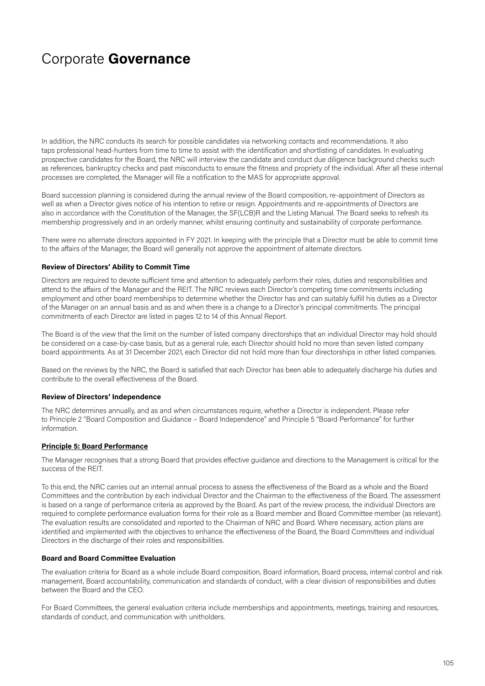In addition, the NRC conducts its search for possible candidates via networking contacts and recommendations. It also taps professional head-hunters from time to time to assist with the identification and shortlisting of candidates. In evaluating prospective candidates for the Board, the NRC will interview the candidate and conduct due diligence background checks such as references, bankruptcy checks and past misconducts to ensure the fitness and propriety of the individual. After all these internal processes are completed, the Manager will file a notification to the MAS for appropriate approval.

Board succession planning is considered during the annual review of the Board composition, re-appointment of Directors as well as when a Director gives notice of his intention to retire or resign. Appointments and re-appointments of Directors are also in accordance with the Constitution of the Manager, the SF(LCB)R and the Listing Manual. The Board seeks to refresh its membership progressively and in an orderly manner, whilst ensuring continuity and sustainability of corporate performance.

There were no alternate directors appointed in FY 2021. In keeping with the principle that a Director must be able to commit time to the affairs of the Manager, the Board will generally not approve the appointment of alternate directors.

#### **Review of Directors' Ability to Commit Time**

Directors are required to devote sufficient time and attention to adequately perform their roles, duties and responsibilities and attend to the affairs of the Manager and the REIT. The NRC reviews each Director's competing time commitments including employment and other board memberships to determine whether the Director has and can suitably fulfill his duties as a Director of the Manager on an annual basis and as and when there is a change to a Director's principal commitments. The principal commitments of each Director are listed in pages 12 to 14 of this Annual Report.

The Board is of the view that the limit on the number of listed company directorships that an individual Director may hold should be considered on a case-by-case basis, but as a general rule, each Director should hold no more than seven listed company board appointments. As at 31 December 2021, each Director did not hold more than four directorships in other listed companies.

Based on the reviews by the NRC, the Board is satisfied that each Director has been able to adequately discharge his duties and contribute to the overall effectiveness of the Board.

### **Review of Directors' Independence**

The NRC determines annually, and as and when circumstances require, whether a Director is independent. Please refer to Principle 2 "Board Composition and Guidance – Board Independence" and Principle 5 "Board Performance" for further information.

### **Principle 5: Board Performance**

The Manager recognises that a strong Board that provides effective guidance and directions to the Management is critical for the success of the REIT.

To this end, the NRC carries out an internal annual process to assess the effectiveness of the Board as a whole and the Board Committees and the contribution by each individual Director and the Chairman to the effectiveness of the Board. The assessment is based on a range of performance criteria as approved by the Board. As part of the review process, the individual Directors are required to complete performance evaluation forms for their role as a Board member and Board Committee member (as relevant). The evaluation results are consolidated and reported to the Chairman of NRC and Board. Where necessary, action plans are identified and implemented with the objectives to enhance the effectiveness of the Board, the Board Committees and individual Directors in the discharge of their roles and responsibilities.

#### **Board and Board Committee Evaluation**

The evaluation criteria for Board as a whole include Board composition, Board information, Board process, internal control and risk management, Board accountability, communication and standards of conduct, with a clear division of responsibilities and duties between the Board and the CEO.

For Board Committees, the general evaluation criteria include memberships and appointments, meetings, training and resources, standards of conduct, and communication with unitholders.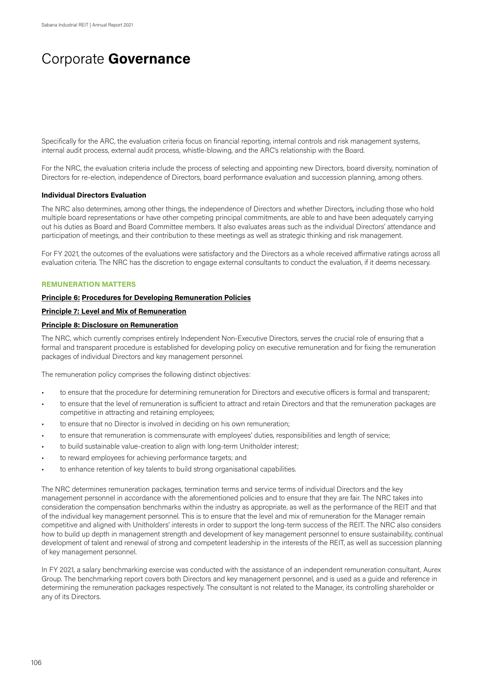Specifically for the ARC, the evaluation criteria focus on financial reporting, internal controls and risk management systems, internal audit process, external audit process, whistle-blowing, and the ARC's relationship with the Board.

For the NRC, the evaluation criteria include the process of selecting and appointing new Directors, board diversity, nomination of Directors for re-election, independence of Directors, board performance evaluation and succession planning, among others.

#### **Individual Directors Evaluation**

The NRC also determines, among other things, the independence of Directors and whether Directors*,* including those who hold multiple board representations or have other competing principal commitments, are able to and have been adequately carrying out his duties as Board and Board Committee members. It also evaluates areas such as the individual Directors' attendance and participation of meetings, and their contribution to these meetings as well as strategic thinking and risk management.

For FY 2021, the outcomes of the evaluations were satisfactory and the Directors as a whole received affirmative ratings across all evaluation criteria. The NRC has the discretion to engage external consultants to conduct the evaluation, if it deems necessary.

#### **REMUNERATION MATTERS**

### **Principle 6: Procedures for Developing Remuneration Policies**

#### **Principle 7: Level and Mix of Remuneration**

### **Principle 8: Disclosure on Remuneration**

The NRC, which currently comprises entirely Independent Non-Executive Directors, serves the crucial role of ensuring that a formal and transparent procedure is established for developing policy on executive remuneration and for fixing the remuneration packages of individual Directors and key management personnel.

The remuneration policy comprises the following distinct objectives:

- to ensure that the procedure for determining remuneration for Directors and executive officers is formal and transparent;
- to ensure that the level of remuneration is sufficient to attract and retain Directors and that the remuneration packages are competitive in attracting and retaining employees;
- to ensure that no Director is involved in deciding on his own remuneration;
- to ensure that remuneration is commensurate with employees' duties, responsibilities and length of service;
- to build sustainable value-creation to align with long-term Unitholder interest;
- to reward employees for achieving performance targets; and
- to enhance retention of key talents to build strong organisational capabilities.

The NRC determines remuneration packages, termination terms and service terms of individual Directors and the key management personnel in accordance with the aforementioned policies and to ensure that they are fair. The NRC takes into consideration the compensation benchmarks within the industry as appropriate, as well as the performance of the REIT and that of the individual key management personnel. This is to ensure that the level and mix of remuneration for the Manager remain competitive and aligned with Unitholders' interests in order to support the long-term success of the REIT. The NRC also considers how to build up depth in management strength and development of key management personnel to ensure sustainability, continual development of talent and renewal of strong and competent leadership in the interests of the REIT, as well as succession planning of key management personnel.

In FY 2021, a salary benchmarking exercise was conducted with the assistance of an independent remuneration consultant, Aurex Group. The benchmarking report covers both Directors and key management personnel, and is used as a guide and reference in determining the remuneration packages respectively. The consultant is not related to the Manager, its controlling shareholder or any of its Directors.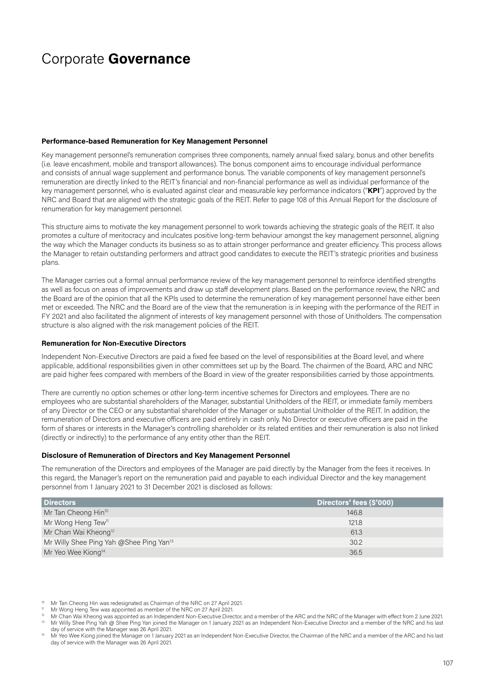#### **Performance-based Remuneration for Key Management Personnel**

Key management personnel's remuneration comprises three components, namely annual fixed salary, bonus and other benefits (i.e. leave encashment, mobile and transport allowances). The bonus component aims to encourage individual performance and consists of annual wage supplement and performance bonus. The variable components of key management personnel's remuneration are directly linked to the REIT's financial and non-financial performance as well as individual performance of the key management personnel, who is evaluated against clear and measurable key performance indicators ("**KPI**") approved by the NRC and Board that are aligned with the strategic goals of the REIT. Refer to page 108 of this Annual Report for the disclosure of renumeration for key management personnel.

This structure aims to motivate the key management personnel to work towards achieving the strategic goals of the REIT. It also promotes a culture of meritocracy and inculcates positive long-term behaviour amongst the key management personnel, aligning the way which the Manager conducts its business so as to attain stronger performance and greater efficiency. This process allows the Manager to retain outstanding performers and attract good candidates to execute the REIT's strategic priorities and business plans.

The Manager carries out a formal annual performance review of the key management personnel to reinforce identified strengths as well as focus on areas of improvements and draw up staff development plans. Based on the performance review, the NRC and the Board are of the opinion that all the KPIs used to determine the remuneration of key management personnel have either been met or exceeded. The NRC and the Board are of the view that the remuneration is in keeping with the performance of the REIT in FY 2021 and also facilitated the alignment of interests of key management personnel with those of Unitholders. The compensation structure is also aligned with the risk management policies of the REIT.

#### **Remuneration for Non-Executive Directors**

Independent Non-Executive Directors are paid a fixed fee based on the level of responsibilities at the Board level, and where applicable, additional responsibilities given in other committees set up by the Board. The chairmen of the Board, ARC and NRC are paid higher fees compared with members of the Board in view of the greater responsibilities carried by those appointments.

There are currently no option schemes or other long-term incentive schemes for Directors and employees. There are no employees who are substantial shareholders of the Manager, substantial Unitholders of the REIT, or immediate family members of any Director or the CEO or any substantial shareholder of the Manager or substantial Unitholder of the REIT. In addition, the remuneration of Directors and executive officers are paid entirely in cash only. No Director or executive officers are paid in the form of shares or interests in the Manager's controlling shareholder or its related entities and their remuneration is also not linked (directly or indirectly) to the performance of any entity other than the REIT.

#### **Disclosure of Remuneration of Directors and Key Management Personnel**

The remuneration of the Directors and employees of the Manager are paid directly by the Manager from the fees it receives. In this regard, the Manager's report on the remuneration paid and payable to each individual Director and the key management personnel from 1 January 2021 to 31 December 2021 is disclosed as follows:

| <b>Directors</b>                                    | Directors' fees (\$'000) |
|-----------------------------------------------------|--------------------------|
| Mr Tan Cheong Hin <sup>10</sup>                     | 146.8                    |
| Mr Wong Heng Tew <sup>11</sup>                      | 121.8                    |
| Mr Chan Wai Kheong <sup>12</sup>                    | 61.3                     |
| Mr Willy Shee Ping Yah @Shee Ping Yan <sup>13</sup> | 30.2                     |
| Mr Yeo Wee Kiong <sup>14</sup>                      | 36.5                     |

Mr Tan Cheong Hin was redesignated as Chairman of the NRC on 27 April 2021.<br>Mr Wong Heng Tew was appointed as member of the NRC on 27 April 2021.<br>Mr Chan Wai Kheong was appointed as an Independent Non-Executive Director, a

I'M Chair was needed to Sheeping Yah @ Shee Ping Yan joined the Manager on 1 January 2021 as an Independent Non-Executive Director and a member of the NRC and his last<br>day of service with the Manager was 26 April 2021.

Mr Yeo Wee Kiong joined the Manager on 1 January 2021 as an Independent Non-Executive Director, the Chairman of the NRC and a member of the ARC and his last day of service with the Manager was 26 April 2021.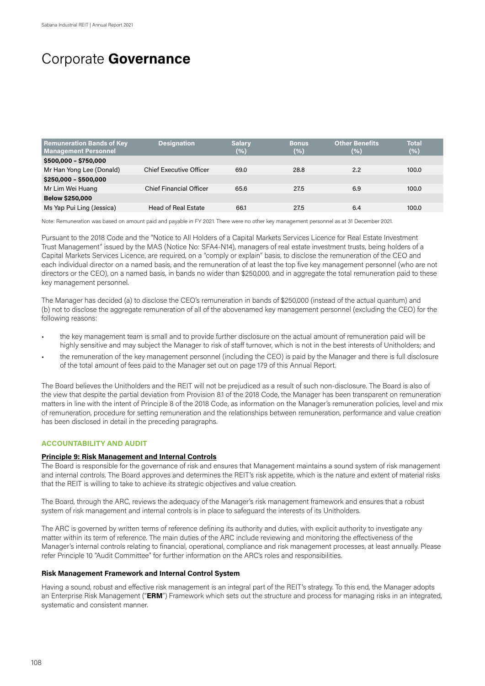| <b>Remuneration Bands of Key</b><br><b>Management Personnel</b> | <b>Designation</b>             | <b>Salary</b><br>(%) | <b>Bonus</b><br>(%) | <b>Other Benefits</b><br>(%) | <b>Total</b><br>(%) |
|-----------------------------------------------------------------|--------------------------------|----------------------|---------------------|------------------------------|---------------------|
| \$500,000 - \$750,000                                           |                                |                      |                     |                              |                     |
| Mr Han Yong Lee (Donald)                                        | Chief Executive Officer        | 69.0                 | 28.8                | 2.2                          | 100.0               |
| \$250,000 - \$500,000                                           |                                |                      |                     |                              |                     |
| Mr Lim Wei Huang                                                | <b>Chief Financial Officer</b> | 65.6                 | 27.5                | 6.9                          | 100.0               |
| <b>Below \$250,000</b>                                          |                                |                      |                     |                              |                     |
| Ms Yap Pui Ling (Jessica)                                       | <b>Head of Real Estate</b>     | 66.1                 | 27.5                | 6.4                          | 100.0               |

Note: Remuneration was based on amount paid and payable in FY 2021. There were no other key management personnel as at 31 December 2021.

Pursuant to the 2018 Code and the "Notice to All Holders of a Capital Markets Services Licence for Real Estate Investment Trust Management" issued by the MAS (Notice No: SFA4-N14), managers of real estate investment trusts, being holders of a Capital Markets Services Licence, are required, on a "comply or explain" basis, to disclose the remuneration of the CEO and each individual director on a named basis, and the remuneration of at least the top five key management personnel (who are not directors or the CEO), on a named basis, in bands no wider than \$250,000. and in aggregate the total remuneration paid to these key management personnel.

The Manager has decided (a) to disclose the CEO's remuneration in bands of \$250,000 (instead of the actual quantum) and (b) not to disclose the aggregate remuneration of all of the abovenamed key management personnel (excluding the CEO) for the following reasons:

- the key management team is small and to provide further disclosure on the actual amount of remuneration paid will be highly sensitive and may subject the Manager to risk of staff turnover, which is not in the best interests of Unitholders; and
- the remuneration of the key management personnel (including the CEO) is paid by the Manager and there is full disclosure of the total amount of fees paid to the Manager set out on page 179 of this Annual Report.

The Board believes the Unitholders and the REIT will not be prejudiced as a result of such non-disclosure. The Board is also of the view that despite the partial deviation from Provision 8.1 of the 2018 Code, the Manager has been transparent on remuneration matters in line with the intent of Principle 8 of the 2018 Code, as information on the Manager's remuneration policies, level and mix of remuneration, procedure for setting remuneration and the relationships between remuneration, performance and value creation has been disclosed in detail in the preceding paragraphs.

### **ACCOUNTABILITY AND AUDIT**

#### **Principle 9: Risk Management and Internal Controls**

The Board is responsible for the governance of risk and ensures that Management maintains a sound system of risk management and internal controls. The Board approves and determines the REIT's risk appetite, which is the nature and extent of material risks that the REIT is willing to take to achieve its strategic objectives and value creation.

The Board, through the ARC, reviews the adequacy of the Manager's risk management framework and ensures that a robust system of risk management and internal controls is in place to safeguard the interests of its Unitholders.

The ARC is governed by written terms of reference defining its authority and duties, with explicit authority to investigate any matter within its term of reference. The main duties of the ARC include reviewing and monitoring the effectiveness of the Manager's internal controls relating to financial, operational, compliance and risk management processes, at least annually. Please refer Principle 10 "Audit Committee" for further information on the ARC's roles and responsibilities.

#### **Risk Management Framework and Internal Control System**

Having a sound, robust and effective risk management is an integral part of the REIT's strategy. To this end, the Manager adopts an Enterprise Risk Management ("ERM") Framework which sets out the structure and process for managing risks in an integrated, systematic and consistent manner.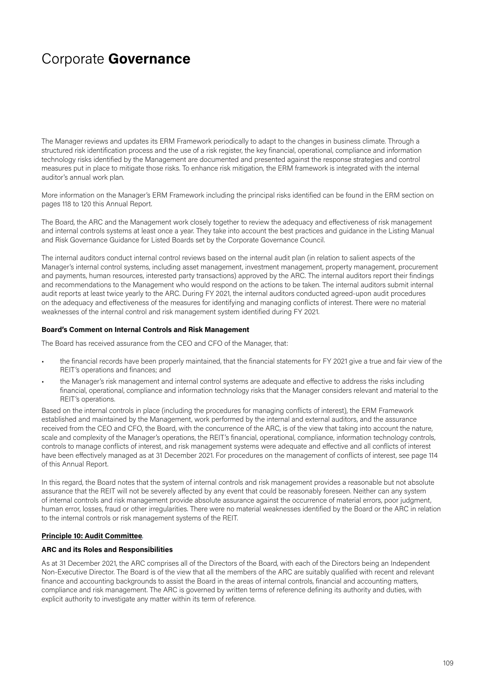The Manager reviews and updates its ERM Framework periodically to adapt to the changes in business climate. Through a structured risk identification process and the use of a risk register, the key financial, operational, compliance and information technology risks identified by the Management are documented and presented against the response strategies and control measures put in place to mitigate those risks. To enhance risk mitigation, the ERM framework is integrated with the internal auditor's annual work plan.

More information on the Manager's ERM Framework including the principal risks identified can be found in the ERM section on pages 118 to 120 this Annual Report.

The Board, the ARC and the Management work closely together to review the adequacy and effectiveness of risk management and internal controls systems at least once a year. They take into account the best practices and guidance in the Listing Manual and Risk Governance Guidance for Listed Boards set by the Corporate Governance Council.

The internal auditors conduct internal control reviews based on the internal audit plan (in relation to salient aspects of the Manager's internal control systems, including asset management, investment management, property management, procurement and payments, human resources, interested party transactions) approved by the ARC. The internal auditors report their findings and recommendations to the Management who would respond on the actions to be taken. The internal auditors submit internal audit reports at least twice yearly to the ARC. During FY 2021, the internal auditors conducted agreed-upon audit procedures on the adequacy and effectiveness of the measures for identifying and managing conflicts of interest. There were no material weaknesses of the internal control and risk management system identified during FY 2021.

### **Board's Comment on Internal Controls and Risk Management**

The Board has received assurance from the CEO and CFO of the Manager, that:

- the financial records have been properly maintained, that the financial statements for FY 2021 give a true and fair view of the REIT's operations and finances; and
- the Manager's risk management and internal control systems are adequate and effective to address the risks including financial, operational, compliance and information technology risks that the Manager considers relevant and material to the REIT's operations.

Based on the internal controls in place (including the procedures for managing conflicts of interest), the ERM Framework established and maintained by the Management, work performed by the internal and external auditors, and the assurance received from the CEO and CFO, the Board, with the concurrence of the ARC, is of the view that taking into account the nature, scale and complexity of the Manager's operations, the REIT's financial, operational, compliance, information technology controls, controls to manage conflicts of interest, and risk management systems were adequate and effective and all conflicts of interest have been effectively managed as at 31 December 2021. For procedures on the management of conflicts of interest, see page 114 of this Annual Report.

In this regard, the Board notes that the system of internal controls and risk management provides a reasonable but not absolute assurance that the REIT will not be severely affected by any event that could be reasonably foreseen. Neither can any system of internal controls and risk management provide absolute assurance against the occurrence of material errors, poor judgment, human error, losses, fraud or other irregularities. There were no material weaknesses identified by the Board or the ARC in relation to the internal controls or risk management systems of the REIT.

#### **Principle 10: Audit Committee***.*

#### **ARC and its Roles and Responsibilities**

As at 31 December 2021, the ARC comprises all of the Directors of the Board, with each of the Directors being an Independent Non-Executive Director. The Board is of the view that all the members of the ARC are suitably qualified with recent and relevant finance and accounting backgrounds to assist the Board in the areas of internal controls, financial and accounting matters, compliance and risk management. The ARC is governed by written terms of reference defining its authority and duties, with explicit authority to investigate any matter within its term of reference.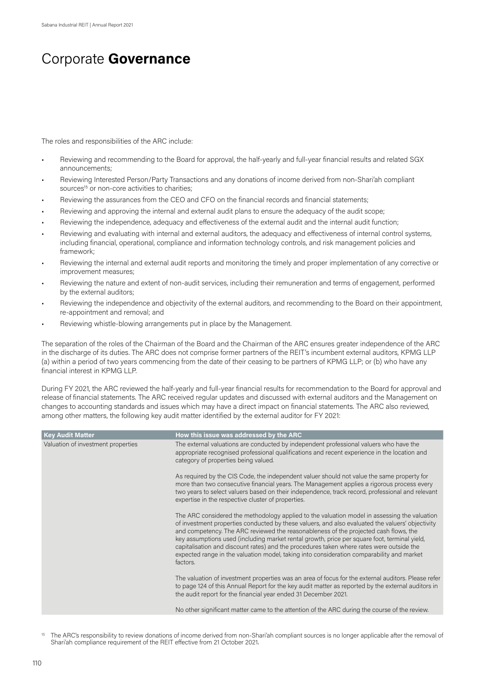The roles and responsibilities of the ARC include:

- Reviewing and recommending to the Board for approval, the half-yearly and full-year financial results and related SGX announcements;
- Reviewing Interested Person/Party Transactions and any donations of income derived from non-Shari'ah compliant sources<sup>15</sup> or non-core activities to charities;
- Reviewing the assurances from the CEO and CFO on the financial records and financial statements;
- Reviewing and approving the internal and external audit plans to ensure the adequacy of the audit scope;
- Reviewing the independence, adequacy and effectiveness of the external audit and the internal audit function;
- Reviewing and evaluating with internal and external auditors, the adequacy and effectiveness of internal control systems, including financial, operational, compliance and information technology controls, and risk management policies and framework;
- Reviewing the internal and external audit reports and monitoring the timely and proper implementation of any corrective or improvement measures;
- Reviewing the nature and extent of non-audit services, including their remuneration and terms of engagement, performed by the external auditors;
- Reviewing the independence and objectivity of the external auditors, and recommending to the Board on their appointment, re-appointment and removal; and
- Reviewing whistle-blowing arrangements put in place by the Management.

The separation of the roles of the Chairman of the Board and the Chairman of the ARC ensures greater independence of the ARC in the discharge of its duties. The ARC does not comprise former partners of the REIT's incumbent external auditors, KPMG LLP (a) within a period of two years commencing from the date of their ceasing to be partners of KPMG LLP; or (b) who have any financial interest in KPMG LLP.

During FY 2021, the ARC reviewed the half-yearly and full-year financial results for recommendation to the Board for approval and release of financial statements. The ARC received regular updates and discussed with external auditors and the Management on changes to accounting standards and issues which may have a direct impact on financial statements. The ARC also reviewed, among other matters, the following key audit matter identified by the external auditor for FY 2021:

| <b>Key Audit Matter</b>            | How this issue was addressed by the ARC                                                                                                                                                                                                                                                                                                                                                                                                                                                                                                                                                       |
|------------------------------------|-----------------------------------------------------------------------------------------------------------------------------------------------------------------------------------------------------------------------------------------------------------------------------------------------------------------------------------------------------------------------------------------------------------------------------------------------------------------------------------------------------------------------------------------------------------------------------------------------|
| Valuation of investment properties | The external valuations are conducted by independent professional valuers who have the<br>appropriate recognised professional qualifications and recent experience in the location and<br>category of properties being valued.                                                                                                                                                                                                                                                                                                                                                                |
|                                    | As required by the CIS Code, the independent valuer should not value the same property for<br>more than two consecutive financial years. The Management applies a rigorous process every<br>two years to select valuers based on their independence, track record, professional and relevant<br>expertise in the respective cluster of properties.                                                                                                                                                                                                                                            |
|                                    | The ARC considered the methodology applied to the valuation model in assessing the valuation<br>of investment properties conducted by these valuers, and also evaluated the valuers' objectivity<br>and competency. The ARC reviewed the reasonableness of the projected cash flows, the<br>key assumptions used (including market rental growth, price per square foot, terminal yield,<br>capitalisation and discount rates) and the procedures taken where rates were outside the<br>expected range in the valuation model, taking into consideration comparability and market<br>factors. |
|                                    | The valuation of investment properties was an area of focus for the external auditors. Please refer<br>to page 124 of this Annual Report for the key audit matter as reported by the external auditors in<br>the audit report for the financial year ended 31 December 2021.                                                                                                                                                                                                                                                                                                                  |
|                                    | No other significant matter came to the attention of the ARC during the course of the review.                                                                                                                                                                                                                                                                                                                                                                                                                                                                                                 |

<sup>15</sup> The ARC's responsibility to review donations of income derived from non-Shari'ah compliant sources is no longer applicable after the removal of Shari'ah compliance requirement of the REIT effective from 21 October 2021.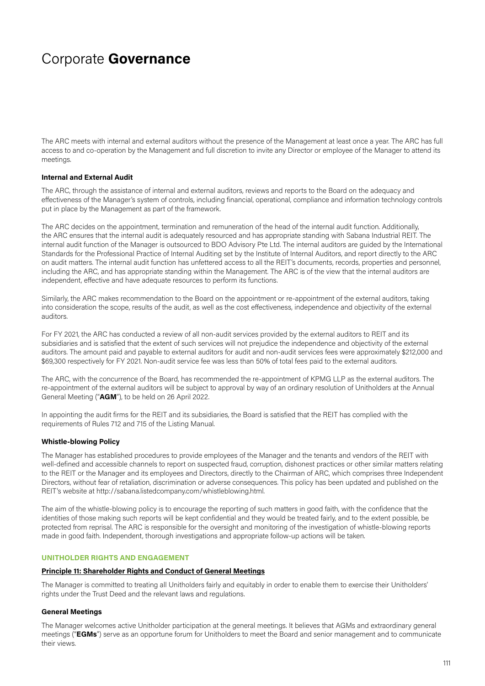The ARC meets with internal and external auditors without the presence of the Management at least once a year. The ARC has full access to and co-operation by the Management and full discretion to invite any Director or employee of the Manager to attend its meetings.

### **Internal and External Audit**

The ARC, through the assistance of internal and external auditors, reviews and reports to the Board on the adequacy and effectiveness of the Manager's system of controls, including financial, operational, compliance and information technology controls put in place by the Management as part of the framework.

The ARC decides on the appointment, termination and remuneration of the head of the internal audit function. Additionally, the ARC ensures that the internal audit is adequately resourced and has appropriate standing with Sabana Industrial REIT. The internal audit function of the Manager is outsourced to BDO Advisory Pte Ltd. The internal auditors are guided by the International Standards for the Professional Practice of Internal Auditing set by the Institute of Internal Auditors, and report directly to the ARC on audit matters. The internal audit function has unfettered access to all the REIT's documents, records, properties and personnel, including the ARC, and has appropriate standing within the Management. The ARC is of the view that the internal auditors are independent, effective and have adequate resources to perform its functions.

Similarly, the ARC makes recommendation to the Board on the appointment or re-appointment of the external auditors, taking into consideration the scope, results of the audit, as well as the cost effectiveness, independence and objectivity of the external auditors.

For FY 2021, the ARC has conducted a review of all non-audit services provided by the external auditors to REIT and its subsidiaries and is satisfied that the extent of such services will not prejudice the independence and objectivity of the external auditors. The amount paid and payable to external auditors for audit and non-audit services fees were approximately \$212,000 and \$69,300 respectively for FY 2021. Non-audit service fee was less than 50% of total fees paid to the external auditors.

The ARC, with the concurrence of the Board, has recommended the re-appointment of KPMG LLP as the external auditors. The re-appointment of the external auditors will be subject to approval by way of an ordinary resolution of Unitholders at the Annual General Meeting ("**AGM**"), to be held on 26 April 2022.

In appointing the audit firms for the REIT and its subsidiaries, the Board is satisfied that the REIT has complied with the requirements of Rules 712 and 715 of the Listing Manual.

#### **Whistle-blowing Policy**

The Manager has established procedures to provide employees of the Manager and the tenants and vendors of the REIT with well-defined and accessible channels to report on suspected fraud, corruption, dishonest practices or other similar matters relating to the REIT or the Manager and its employees and Directors, directly to the Chairman of ARC, which comprises three Independent Directors, without fear of retaliation, discrimination or adverse consequences. This policy has been updated and published on the REIT's website at http://sabana.listedcompany.com/whistleblowing.html.

The aim of the whistle-blowing policy is to encourage the reporting of such matters in good faith, with the confidence that the identities of those making such reports will be kept confidential and they would be treated fairly, and to the extent possible, be protected from reprisal. The ARC is responsible for the oversight and monitoring of the investigation of whistle-blowing reports made in good faith. Independent, thorough investigations and appropriate follow-up actions will be taken.

### **UNITHOLDER RIGHTS AND ENGAGEMENT**

### **Principle 11: Shareholder Rights and Conduct of General Meetings**

The Manager is committed to treating all Unitholders fairly and equitably in order to enable them to exercise their Unitholders' rights under the Trust Deed and the relevant laws and regulations.

### **General Meetings**

The Manager welcomes active Unitholder participation at the general meetings. It believes that AGMs and extraordinary general meetings ("**EGMs**") serve as an opportune forum for Unitholders to meet the Board and senior management and to communicate their views.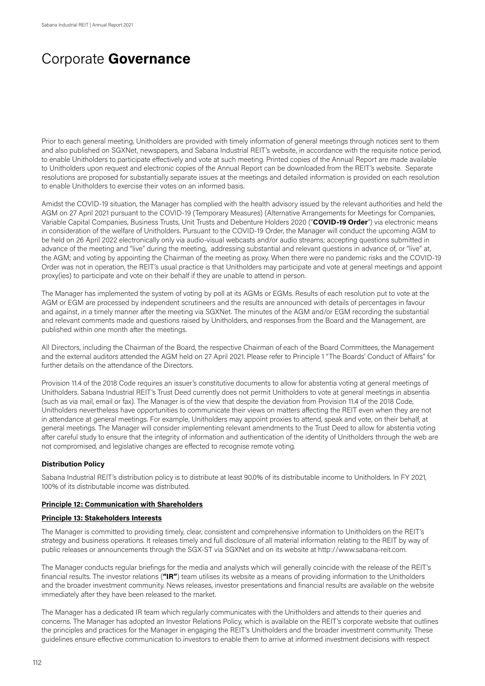Prior to each general meeting, Unitholders are provided with timely information of general meetings through notices sent to them and also published on SGXNet, newspapers, and Sabana Industrial REIT's website, in accordance with the requisite notice period, to enable Unitholders to participate effectively and vote at such meeting. Printed copies of the Annual Report are made available to Unitholders upon request and electronic copies of the Annual Report can be downloaded from the REIT's website. Separate resolutions are proposed for substantially separate issues at the meetings and detailed information is provided on each resolution to enable Unitholders to exercise their votes on an informed basis.

Amidst the COVID-19 situation, the Manager has complied with the health advisory issued by the relevant authorities and held the AGM on 27 April 2021 pursuant to the COVID-19 (Temporary Measures) (Alternative Arrangements for Meetings for Companies, Variable Capital Companies, Business Trusts, Unit Trusts and Debenture Holders 2020 ("**COVID-19 Order**") via electronic means in consideration of the welfare of Unitholders. Pursuant to the COVID-19 Order, the Manager will conduct the upcoming AGM to be held on 26 April 2022 electronically only via audio-visual webcasts and/or audio streams; accepting questions submitted in advance of the meeting and "live" during the meeting, addressing substantial and relevant questions in advance of, or "live" at, the AGM; and voting by appointing the Chairman of the meeting as proxy. When there were no pandemic risks and the COVID-19 Order was not in operation, the REIT's usual practice is that Unitholders may participate and vote at general meetings and appoint proxy(ies) to participate and vote on their behalf if they are unable to attend in person.

The Manager has implemented the system of voting by poll at its AGMs or EGMs. Results of each resolution put to vote at the AGM or EGM are processed by independent scrutineers and the results are announced with details of percentages in favour and against, in a timely manner after the meeting via SGXNet. The minutes of the AGM and/or EGM recording the substantial and relevant comments made and questions raised by Unitholders, and responses from the Board and the Management, are published within one month after the meetings.

All Directors, including the Chairman of the Board, the respective Chairman of each of the Board Committees, the Management and the external auditors attended the AGM held on 27 April 2021. Please refer to Principle 1 "The Boards' Conduct of Affairs" for further details on the attendance of the Directors.

Provision 11.4 of the 2018 Code requires an issuer's constitutive documents to allow for abstentia voting at general meetings of Unitholders. Sabana Industrial REIT's Trust Deed currently does not permit Unitholders to vote at general meetings in absentia (such as via mail, email or fax). The Manager is of the view that despite the deviation from Provision 11.4 of the 2018 Code, Unitholders nevertheless have opportunities to communicate their views on matters affecting the REIT even when they are not in attendance at general meetings. For example, Unitholders may appoint proxies to attend, speak and vote, on their behalf, at general meetings. The Manager will consider implementing relevant amendments to the Trust Deed to allow for abstentia voting after careful study to ensure that the integrity of information and authentication of the identity of Unitholders through the web are not compromised, and legislative changes are effected to recognise remote voting.

#### **Distribution Policy**

Sabana Industrial REIT's distribution policy is to distribute at least 90.0% of its distributable income to Unitholders. In FY 2021, 100% of its distributable income was distributed.

### **Principle 12: Communication with Shareholders**

### **Principle 13: Stakeholders Interests**

The Manager is committed to providing timely, clear, consistent and comprehensive information to Unitholders on the REIT's strategy and business operations. It releases timely and full disclosure of all material information relating to the REIT by way of public releases or announcements through the SGX-ST via SGXNet and on its website at http://www.sabana-reit.com.

The Manager conducts regular briefings for the media and analysts which will generally coincide with the release of the REIT's financial results. The investor relations (**"IR"**) team utilises its website as a means of providing information to the Unitholders and the broader investment community. News releases, investor presentations and financial results are available on the website immediately after they have been released to the market.

The Manager has a dedicated IR team which regularly communicates with the Unitholders and attends to their queries and concerns. The Manager has adopted an Investor Relations Policy, which is available on the REIT's corporate website that outlines the principles and practices for the Manager in engaging the REIT's Unitholders and the broader investment community. These guidelines ensure effective communication to investors to enable them to arrive at informed investment decisions with respect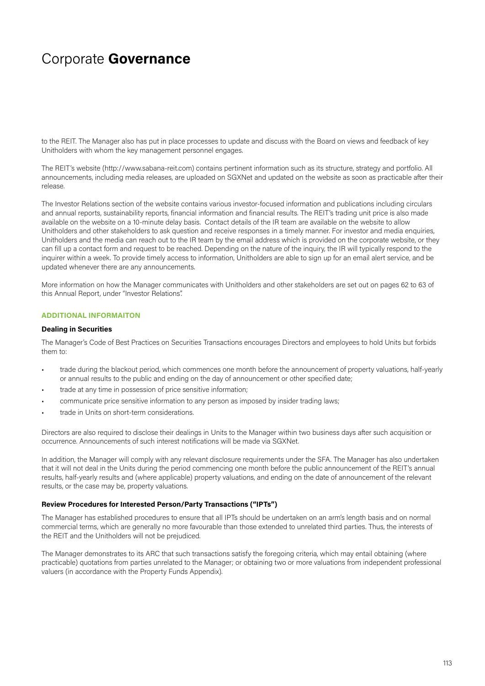to the REIT. The Manager also has put in place processes to update and discuss with the Board on views and feedback of key Unitholders with whom the key management personnel engages.

The REIT's website (http://www.sabana-reit.com) contains pertinent information such as its structure, strategy and portfolio. All announcements, including media releases, are uploaded on SGXNet and updated on the website as soon as practicable after their release.

The Investor Relations section of the website contains various investor-focused information and publications including circulars and annual reports, sustainability reports, financial information and financial results. The REIT's trading unit price is also made available on the website on a 10-minute delay basis. Contact details of the IR team are available on the website to allow Unitholders and other stakeholders to ask question and receive responses in a timely manner. For investor and media enquiries, Unitholders and the media can reach out to the IR team by the email address which is provided on the corporate website, or they can fill up a contact form and request to be reached. Depending on the nature of the inquiry, the IR will typically respond to the inquirer within a week. To provide timely access to information, Unitholders are able to sign up for an email alert service, and be updated whenever there are any announcements.

More information on how the Manager communicates with Unitholders and other stakeholders are set out on pages 62 to 63 of this Annual Report, under "Investor Relations".

### **ADDITIONAL INFORMAITON**

#### **Dealing in Securities**

The Manager's Code of Best Practices on Securities Transactions encourages Directors and employees to hold Units but forbids them to:

- trade during the blackout period, which commences one month before the announcement of property valuations, half-yearly or annual results to the public and ending on the day of announcement or other specified date;
- trade at any time in possession of price sensitive information;
- communicate price sensitive information to any person as imposed by insider trading laws;
- trade in Units on short-term considerations.

Directors are also required to disclose their dealings in Units to the Manager within two business days after such acquisition or occurrence. Announcements of such interest notifications will be made via SGXNet.

In addition, the Manager will comply with any relevant disclosure requirements under the SFA. The Manager has also undertaken that it will not deal in the Units during the period commencing one month before the public announcement of the REIT's annual results, half-yearly results and (where applicable) property valuations, and ending on the date of announcement of the relevant results, or the case may be, property valuations.

### **Review Procedures for Interested Person/Party Transactions ("IPTs")**

The Manager has established procedures to ensure that all IPTs should be undertaken on an arm's length basis and on normal commercial terms, which are generally no more favourable than those extended to unrelated third parties. Thus, the interests of the REIT and the Unitholders will not be prejudiced.

The Manager demonstrates to its ARC that such transactions satisfy the foregoing criteria, which may entail obtaining (where practicable) quotations from parties unrelated to the Manager; or obtaining two or more valuations from independent professional valuers (in accordance with the Property Funds Appendix).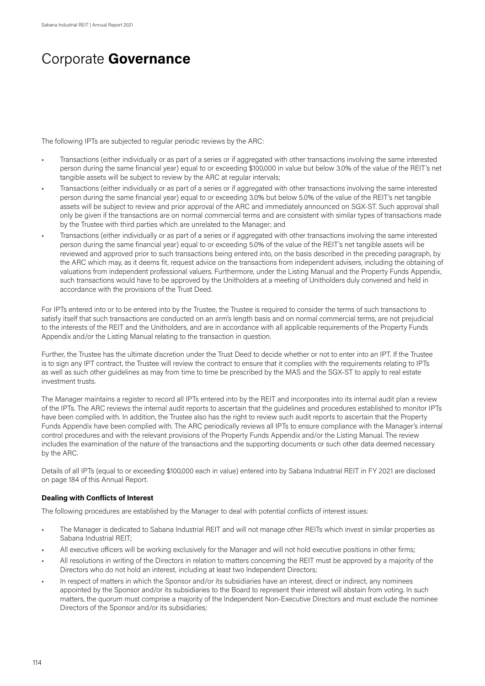The following IPTs are subjected to regular periodic reviews by the ARC:

- Transactions (either individually or as part of a series or if aggregated with other transactions involving the same interested person during the same financial year) equal to or exceeding \$100,000 in value but below 3.0% of the value of the REIT's net tangible assets will be subject to review by the ARC at regular intervals;
- Transactions (either individually or as part of a series or if aggregated with other transactions involving the same interested person during the same financial year) equal to or exceeding 3.0% but below 5.0% of the value of the REIT's net tangible assets will be subject to review and prior approval of the ARC and immediately announced on SGX-ST. Such approval shall only be given if the transactions are on normal commercial terms and are consistent with similar types of transactions made by the Trustee with third parties which are unrelated to the Manager; and
- Transactions (either individually or as part of a series or if aggregated with other transactions involving the same interested person during the same financial year) equal to or exceeding 5.0% of the value of the REIT's net tangible assets will be reviewed and approved prior to such transactions being entered into, on the basis described in the preceding paragraph, by the ARC which may, as it deems fit, request advice on the transactions from independent advisers, including the obtaining of valuations from independent professional valuers. Furthermore, under the Listing Manual and the Property Funds Appendix, such transactions would have to be approved by the Unitholders at a meeting of Unitholders duly convened and held in accordance with the provisions of the Trust Deed.

For IPTs entered into or to be entered into by the Trustee, the Trustee is required to consider the terms of such transactions to satisfy itself that such transactions are conducted on an arm's length basis and on normal commercial terms, are not prejudicial to the interests of the REIT and the Unitholders, and are in accordance with all applicable requirements of the Property Funds Appendix and/or the Listing Manual relating to the transaction in question.

Further, the Trustee has the ultimate discretion under the Trust Deed to decide whether or not to enter into an IPT. If the Trustee is to sign any IPT contract, the Trustee will review the contract to ensure that it complies with the requirements relating to IPTs as well as such other guidelines as may from time to time be prescribed by the MAS and the SGX-ST to apply to real estate investment trusts.

The Manager maintains a register to record all IPTs entered into by the REIT and incorporates into its internal audit plan a review of the IPTs. The ARC reviews the internal audit reports to ascertain that the guidelines and procedures established to monitor IPTs have been complied with. In addition, the Trustee also has the right to review such audit reports to ascertain that the Property Funds Appendix have been complied with. The ARC periodically reviews all IPTs to ensure compliance with the Manager's internal control procedures and with the relevant provisions of the Property Funds Appendix and/or the Listing Manual. The review includes the examination of the nature of the transactions and the supporting documents or such other data deemed necessary by the ARC.

Details of all IPTs (equal to or exceeding \$100,000 each in value) entered into by Sabana Industrial REIT in FY 2021 are disclosed on page 184 of this Annual Report.

### **Dealing with Conflicts of Interest**

The following procedures are established by the Manager to deal with potential conflicts of interest issues:

- The Manager is dedicated to Sabana Industrial REIT and will not manage other REITs which invest in similar properties as Sabana Industrial REIT;
- All executive officers will be working exclusively for the Manager and will not hold executive positions in other firms;
- All resolutions in writing of the Directors in relation to matters concerning the REIT must be approved by a majority of the Directors who do not hold an interest, including at least two Independent Directors;
- In respect of matters in which the Sponsor and/or its subsidiaries have an interest, direct or indirect, any nominees appointed by the Sponsor and/or its subsidiaries to the Board to represent their interest will abstain from voting. In such matters, the quorum must comprise a majority of the Independent Non-Executive Directors and must exclude the nominee Directors of the Sponsor and/or its subsidiaries;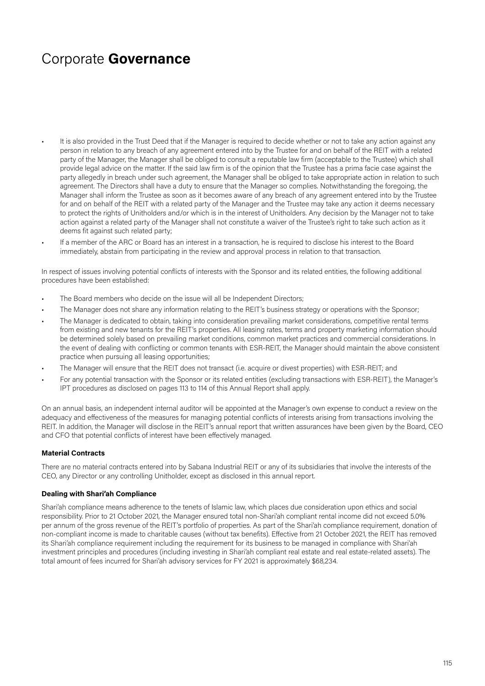- It is also provided in the Trust Deed that if the Manager is required to decide whether or not to take any action against any person in relation to any breach of any agreement entered into by the Trustee for and on behalf of the REIT with a related party of the Manager, the Manager shall be obliged to consult a reputable law firm (acceptable to the Trustee) which shall provide legal advice on the matter. If the said law firm is of the opinion that the Trustee has a prima facie case against the party allegedly in breach under such agreement, the Manager shall be obliged to take appropriate action in relation to such agreement. The Directors shall have a duty to ensure that the Manager so complies. Notwithstanding the foregoing, the Manager shall inform the Trustee as soon as it becomes aware of any breach of any agreement entered into by the Trustee for and on behalf of the REIT with a related party of the Manager and the Trustee may take any action it deems necessary to protect the rights of Unitholders and/or which is in the interest of Unitholders. Any decision by the Manager not to take action against a related party of the Manager shall not constitute a waiver of the Trustee's right to take such action as it deems fit against such related party;
- If a member of the ARC or Board has an interest in a transaction, he is required to disclose his interest to the Board immediately, abstain from participating in the review and approval process in relation to that transaction.

In respect of issues involving potential conflicts of interests with the Sponsor and its related entities, the following additional procedures have been established:

- The Board members who decide on the issue will all be Independent Directors;
- The Manager does not share any information relating to the REIT's business strategy or operations with the Sponsor;
- The Manager is dedicated to obtain, taking into consideration prevailing market considerations, competitive rental terms from existing and new tenants for the REIT's properties. All leasing rates, terms and property marketing information should be determined solely based on prevailing market conditions, common market practices and commercial considerations. In the event of dealing with conflicting or common tenants with ESR-REIT, the Manager should maintain the above consistent practice when pursuing all leasing opportunities;
- The Manager will ensure that the REIT does not transact (i.e. acquire or divest properties) with ESR-REIT; and
- For any potential transaction with the Sponsor or its related entities (excluding transactions with ESR-REIT), the Manager's IPT procedures as disclosed on pages 113 to 114 of this Annual Report shall apply.

On an annual basis, an independent internal auditor will be appointed at the Manager's own expense to conduct a review on the adequacy and effectiveness of the measures for managing potential conflicts of interests arising from transactions involving the REIT. In addition, the Manager will disclose in the REIT's annual report that written assurances have been given by the Board, CEO and CFO that potential conflicts of interest have been effectively managed.

#### **Material Contracts**

There are no material contracts entered into by Sabana Industrial REIT or any of its subsidiaries that involve the interests of the CEO, any Director or any controlling Unitholder, except as disclosed in this annual report.

### **Dealing with Shari'ah Compliance**

Shari'ah compliance means adherence to the tenets of Islamic law, which places due consideration upon ethics and social responsibility. Prior to 21 October 2021, the Manager ensured total non-Shari'ah compliant rental income did not exceed 5.0% per annum of the gross revenue of the REIT's portfolio of properties. As part of the Shari'ah compliance requirement, donation of non-compliant income is made to charitable causes (without tax benefits). Effective from 21 October 2021, the REIT has removed its Shari'ah compliance requirement including the requirement for its business to be managed in compliance with Shari'ah investment principles and procedures (including investing in Shari'ah compliant real estate and real estate-related assets). The total amount of fees incurred for Shari'ah advisory services for FY 2021 is approximately \$68,234.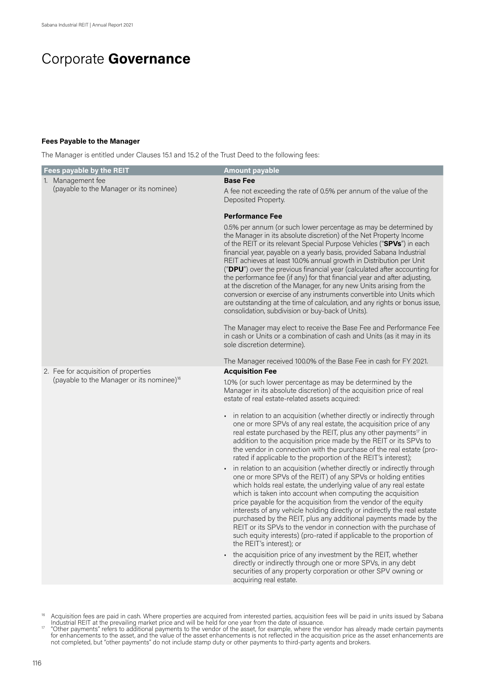### **Fees Payable to the Manager**

The Manager is entitled under Clauses 15.1 and 15.2 of the Trust Deed to the following fees:

| <b>Fees payable by the REIT</b>                       | <b>Amount payable</b>                                                                                                                                                                                                                                                                                                                                                                                                                                                                                                                                                                                                                                                                                                                                                                                                                                                               |
|-------------------------------------------------------|-------------------------------------------------------------------------------------------------------------------------------------------------------------------------------------------------------------------------------------------------------------------------------------------------------------------------------------------------------------------------------------------------------------------------------------------------------------------------------------------------------------------------------------------------------------------------------------------------------------------------------------------------------------------------------------------------------------------------------------------------------------------------------------------------------------------------------------------------------------------------------------|
| 1. Management fee                                     | <b>Base Fee</b>                                                                                                                                                                                                                                                                                                                                                                                                                                                                                                                                                                                                                                                                                                                                                                                                                                                                     |
| (payable to the Manager or its nominee)               | A fee not exceeding the rate of 0.5% per annum of the value of the<br>Deposited Property.                                                                                                                                                                                                                                                                                                                                                                                                                                                                                                                                                                                                                                                                                                                                                                                           |
|                                                       | <b>Performance Fee</b>                                                                                                                                                                                                                                                                                                                                                                                                                                                                                                                                                                                                                                                                                                                                                                                                                                                              |
|                                                       | 0.5% per annum (or such lower percentage as may be determined by<br>the Manager in its absolute discretion) of the Net Property Income<br>of the REIT or its relevant Special Purpose Vehicles ("SPVs") in each<br>financial year, payable on a yearly basis, provided Sabana Industrial<br>REIT achieves at least 10.0% annual growth in Distribution per Unit<br>("DPU") over the previous financial year (calculated after accounting for<br>the performance fee (if any) for that financial year and after adjusting,<br>at the discretion of the Manager, for any new Units arising from the<br>conversion or exercise of any instruments convertible into Units which<br>are outstanding at the time of calculation, and any rights or bonus issue,<br>consolidation, subdivision or buy-back of Units).<br>The Manager may elect to receive the Base Fee and Performance Fee |
|                                                       | in cash or Units or a combination of cash and Units (as it may in its<br>sole discretion determine).<br>The Manager received 100.0% of the Base Fee in cash for FY 2021.                                                                                                                                                                                                                                                                                                                                                                                                                                                                                                                                                                                                                                                                                                            |
| 2. Fee for acquisition of properties                  | <b>Acquisition Fee</b>                                                                                                                                                                                                                                                                                                                                                                                                                                                                                                                                                                                                                                                                                                                                                                                                                                                              |
| (payable to the Manager or its nominee) <sup>16</sup> | 1.0% (or such lower percentage as may be determined by the<br>Manager in its absolute discretion) of the acquisition price of real<br>estate of real estate-related assets acquired:                                                                                                                                                                                                                                                                                                                                                                                                                                                                                                                                                                                                                                                                                                |
|                                                       | in relation to an acquisition (whether directly or indirectly through<br>one or more SPVs of any real estate, the acquisition price of any<br>real estate purchased by the REIT, plus any other payments <sup>17</sup> in<br>addition to the acquisition price made by the REIT or its SPVs to<br>the vendor in connection with the purchase of the real estate (pro-<br>rated if applicable to the proportion of the REIT's interest);                                                                                                                                                                                                                                                                                                                                                                                                                                             |
|                                                       | in relation to an acquisition (whether directly or indirectly through<br>one or more SPVs of the REIT) of any SPVs or holding entities<br>which holds real estate, the underlying value of any real estate<br>which is taken into account when computing the acquisition<br>price payable for the acquisition from the vendor of the equity<br>interests of any vehicle holding directly or indirectly the real estate<br>purchased by the REIT, plus any additional payments made by the<br>REIT or its SPVs to the vendor in connection with the purchase of<br>such equity interests) (pro-rated if applicable to the proportion of<br>the REIT's interest); or                                                                                                                                                                                                                  |
|                                                       | the acquisition price of any investment by the REIT, whether<br>directly or indirectly through one or more SPVs, in any debt<br>securities of any property corporation or other SPV owning or<br>acquiring real estate.                                                                                                                                                                                                                                                                                                                                                                                                                                                                                                                                                                                                                                                             |

<sup>&</sup>lt;sup>16</sup> Acquisition fees are paid in cash. Where properties are acquired from interested parties, acquisition fees will be paid in units issued by Sabana Industrial REIT at the prevailing market price and will be held for one year from the date of issuance.<br>"Other payments" refers to additional payments to the vendor of the asset, for example, where the vendor has already m

for enhancements to the asset, and the value of the asset enhancements is not reflected in the acquisition price as the asset enhancements are not completed, but "other payments" do not include stamp duty or other payments to third-party agents and brokers.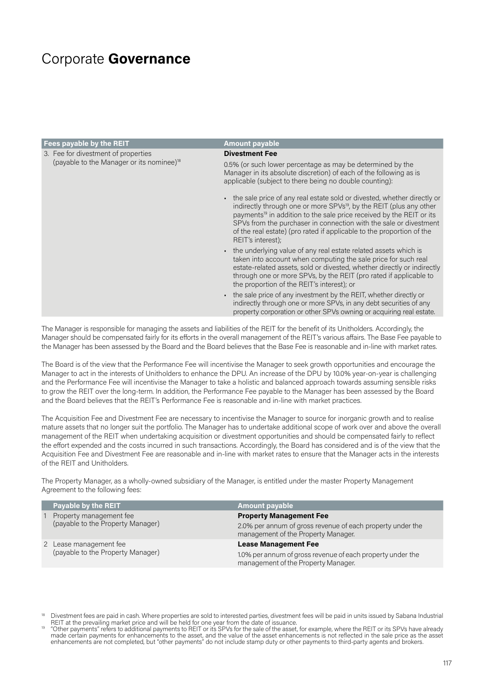| Fees payable by the REIT                              | <b>Amount payable</b>                                                                                                                                                                                                                                                                                                                                                                                               |
|-------------------------------------------------------|---------------------------------------------------------------------------------------------------------------------------------------------------------------------------------------------------------------------------------------------------------------------------------------------------------------------------------------------------------------------------------------------------------------------|
| 3. Fee for divestment of properties                   | <b>Divestment Fee</b>                                                                                                                                                                                                                                                                                                                                                                                               |
| (payable to the Manager or its nominee) <sup>18</sup> | 0.5% (or such lower percentage as may be determined by the<br>Manager in its absolute discretion) of each of the following as is<br>applicable (subject to there being no double counting):                                                                                                                                                                                                                         |
|                                                       | - the sale price of any real estate sold or divested, whether directly or<br>indirectly through one or more SPVs <sup>19</sup> , by the REIT (plus any other<br>payments <sup>19</sup> in addition to the sale price received by the REIT or its<br>SPVs from the purchaser in connection with the sale or divestment<br>of the real estate) (pro rated if applicable to the proportion of the<br>REIT's interest); |
|                                                       | • the underlying value of any real estate related assets which is<br>taken into account when computing the sale price for such real<br>estate-related assets, sold or divested, whether directly or indirectly<br>through one or more SPVs, by the REIT (pro rated if applicable to<br>the proportion of the REIT's interest); or                                                                                   |
|                                                       | - the sale price of any investment by the REIT, whether directly or<br>indirectly through one or more SPVs, in any debt securities of any<br>property corporation or other SPVs owning or acquiring real estate.                                                                                                                                                                                                    |

The Manager is responsible for managing the assets and liabilities of the REIT for the benefit of its Unitholders. Accordingly, the Manager should be compensated fairly for its efforts in the overall management of the REIT's various affairs. The Base Fee payable to the Manager has been assessed by the Board and the Board believes that the Base Fee is reasonable and in-line with market rates.

The Board is of the view that the Performance Fee will incentivise the Manager to seek growth opportunities and encourage the Manager to act in the interests of Unitholders to enhance the DPU. An increase of the DPU by 10.0% year-on-year is challenging and the Performance Fee will incentivise the Manager to take a holistic and balanced approach towards assuming sensible risks to grow the REIT over the long-term. In addition, the Performance Fee payable to the Manager has been assessed by the Board and the Board believes that the REIT's Performance Fee is reasonable and in-line with market practices.

The Acquisition Fee and Divestment Fee are necessary to incentivise the Manager to source for inorganic growth and to realise mature assets that no longer suit the portfolio. The Manager has to undertake additional scope of work over and above the overall management of the REIT when undertaking acquisition or divestment opportunities and should be compensated fairly to reflect the effort expended and the costs incurred in such transactions. Accordingly, the Board has considered and is of the view that the Acquisition Fee and Divestment Fee are reasonable and in-line with market rates to ensure that the Manager acts in the interests of the REIT and Unitholders.

The Property Manager, as a wholly-owned subsidiary of the Manager, is entitled under the master Property Management Agreement to the following fees:

| <b>Payable by the REIT</b>                                   | <b>Amount payable</b>                                                                             |
|--------------------------------------------------------------|---------------------------------------------------------------------------------------------------|
| Property management fee<br>(payable to the Property Manager) | <b>Property Management Fee</b>                                                                    |
|                                                              | 2.0% per annum of gross revenue of each property under the<br>management of the Property Manager. |
| 2 Lease management fee<br>(payable to the Property Manager)  | <b>Lease Management Fee</b>                                                                       |
|                                                              | 1.0% per annum of gross revenue of each property under the<br>management of the Property Manager. |

<sup>&</sup>lt;sup>18</sup> Divestment fees are paid in cash. Where properties are sold to interested parties, divestment fees will be paid in units issued by Sabana Industrial

REIT at the prevailing market price and will be held for one year from the date of issuance.<br>Other payments" refers to additional payments to REIT or its SPVs for the sale of the asset, for example, where the REIT or its S made certain payments for enhancements to the asset, and the value of the asset enhancements is not reflected in the sale price as the asset enhancements are not completed, but "other payments" do not include stamp duty or other payments to third-party agents and brokers.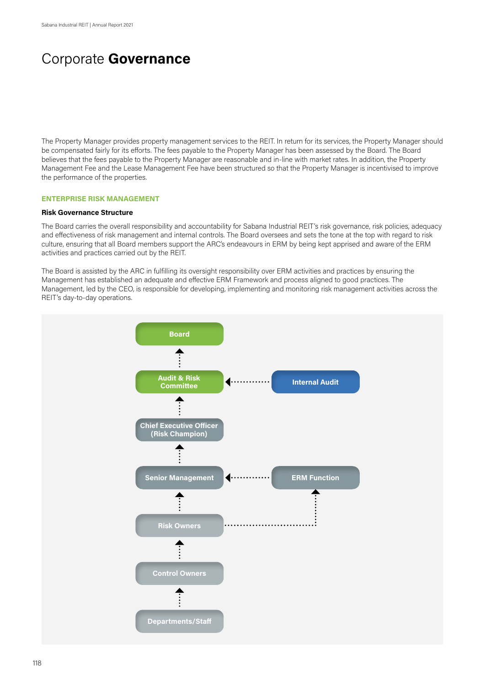The Property Manager provides property management services to the REIT. In return for its services, the Property Manager should be compensated fairly for its efforts. The fees payable to the Property Manager has been assessed by the Board. The Board believes that the fees payable to the Property Manager are reasonable and in-line with market rates. In addition, the Property Management Fee and the Lease Management Fee have been structured so that the Property Manager is incentivised to improve the performance of the properties.

#### **ENTERPRISE RISK MANAGEMENT**

#### **Risk Governance Structure**

The Board carries the overall responsibility and accountability for Sabana Industrial REIT's risk governance, risk policies, adequacy and effectiveness of risk management and internal controls. The Board oversees and sets the tone at the top with regard to risk culture, ensuring that all Board members support the ARC's endeavours in ERM by being kept apprised and aware of the ERM activities and practices carried out by the REIT.

The Board is assisted by the ARC in fulfilling its oversight responsibility over ERM activities and practices by ensuring the Management has established an adequate and effective ERM Framework and process aligned to good practices. The Management, led by the CEO, is responsible for developing, implementing and monitoring risk management activities across the REIT's day-to-day operations.

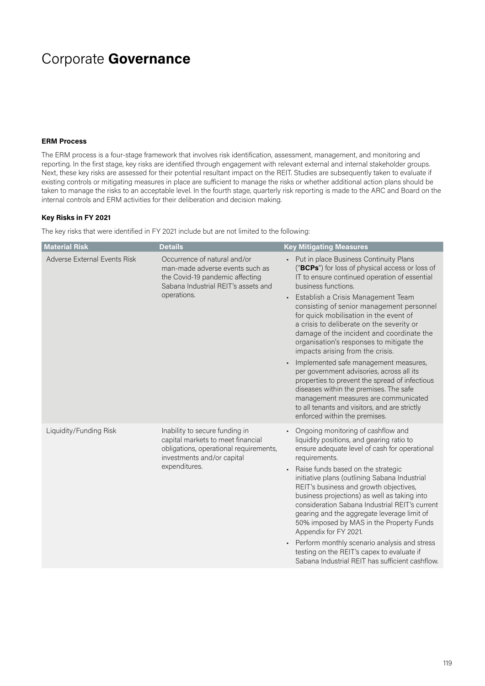#### **ERM Process**

The ERM process is a four-stage framework that involves risk identification, assessment, management, and monitoring and reporting. In the first stage, key risks are identified through engagement with relevant external and internal stakeholder groups. Next, these key risks are assessed for their potential resultant impact on the REIT. Studies are subsequently taken to evaluate if existing controls or mitigating measures in place are sufficient to manage the risks or whether additional action plans should be taken to manage the risks to an acceptable level. In the fourth stage, quarterly risk reporting is made to the ARC and Board on the internal controls and ERM activities for their deliberation and decision making.

### **Key Risks in FY 2021**

The key risks that were identified in FY 2021 include but are not limited to the following:

| <b>Material Risk</b>         | <b>Details</b>                                                                                                                                               | <b>Key Mitigating Measures</b>                                                                                                                                                                                                                                                                                                                                                                                                                                                                                                                                                                                                                                                                                                                                                       |
|------------------------------|--------------------------------------------------------------------------------------------------------------------------------------------------------------|--------------------------------------------------------------------------------------------------------------------------------------------------------------------------------------------------------------------------------------------------------------------------------------------------------------------------------------------------------------------------------------------------------------------------------------------------------------------------------------------------------------------------------------------------------------------------------------------------------------------------------------------------------------------------------------------------------------------------------------------------------------------------------------|
| Adverse External Events Risk | Occurrence of natural and/or<br>man-made adverse events such as<br>the Covid-19 pandemic affecting<br>Sabana Industrial REIT's assets and<br>operations.     | Put in place Business Continuity Plans<br>("BCPs") for loss of physical access or loss of<br>IT to ensure continued operation of essential<br>business functions.<br>Establish a Crisis Management Team<br>consisting of senior management personnel<br>for quick mobilisation in the event of<br>a crisis to deliberate on the severity or<br>damage of the incident and coordinate the<br>organisation's responses to mitigate the<br>impacts arising from the crisis.<br>Implemented safe management measures,<br>per government advisories, across all its<br>properties to prevent the spread of infectious<br>diseases within the premises. The safe<br>management measures are communicated<br>to all tenants and visitors, and are strictly<br>enforced within the premises. |
| Liquidity/Funding Risk       | Inability to secure funding in<br>capital markets to meet financial<br>obligations, operational requirements,<br>investments and/or capital<br>expenditures. | Ongoing monitoring of cashflow and<br>liquidity positions, and gearing ratio to<br>ensure adequate level of cash for operational<br>requirements.<br>Raise funds based on the strategic<br>initiative plans (outlining Sabana Industrial<br>REIT's business and growth objectives,<br>business projections) as well as taking into<br>consideration Sabana Industrial REIT's current<br>gearing and the aggregate leverage limit of<br>50% imposed by MAS in the Property Funds<br>Appendix for FY 2021.<br>Perform monthly scenario analysis and stress<br>testing on the REIT's capex to evaluate if<br>Sabana Industrial REIT has sufficient cashflow.                                                                                                                            |